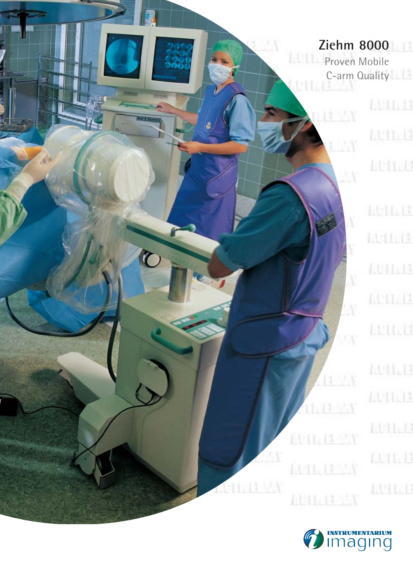### **Ziehm 8000**

**In** 

 $\ddot{\mathbf{C}}$ 

**Proven Mobile** C-arm Quality

 $0.14 - 5$ 

**Identi Ltett**<sub>1</sub><sup>3</sup> **ACTILE** 

4411.14  $[11111]$  $101.0$ **LUTLIT** Lettell **ACDED** henii:  $11:11:11$ **KULL AGILE** 

 $\mathcal{N}$ 

9W.

 $(1 - 1)$ 

 $11.114.1$ 

**Attalient** 

**LUTE IT AN** 

**AUDIT AV** 

ACTIVITIEN

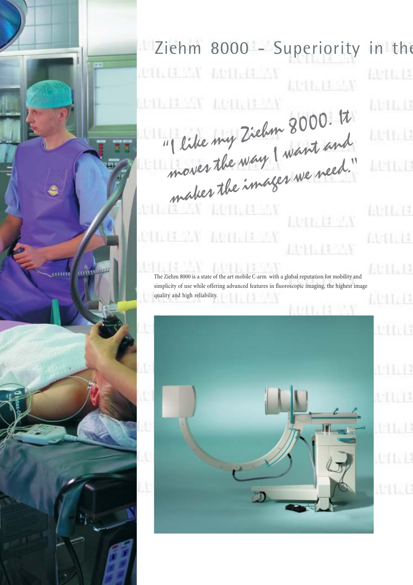# Ziehm 8000 - Superiority in the

nem tron

 $13 - 15$ 

**LETTLET DESK LUTILETTA REILEIGHA** LETTI 11 AM

"I like my Ziehm 8000. It I like my Lieum and<br>moves the way I want and moves the way<br>makes the images we need."

**11.71 75V** 

*<u>RACKA</u>* 

The Ziehm 8000 is a state of the art mobile C-arm with a global reputation for mobility and simplicity of use while offering advanced features in fluoroscopic imaging, the highest image quality and high reliability.



Atiti (1 **Listricia Attilit ACTIVIA** 

 $(111.17$ Atta 11  $101.13$ tī. D  $141111$ tetti 13

 $141.14$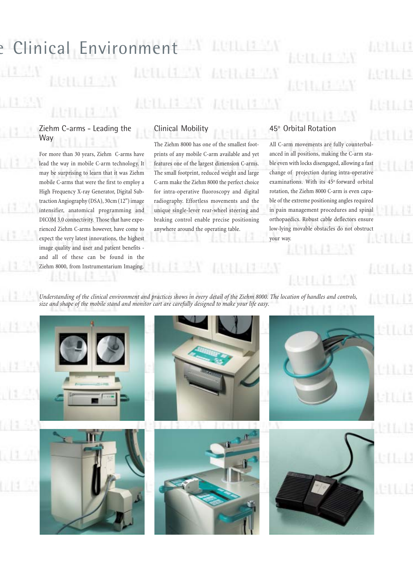## e Clinical Environment  $2.114$ di GNA **HAT LIBERT**

#### Ziehm C-arms - Leading the **Way**

For more than 30 years, Ziehm C-arms have lead the way in mobile C-arm technology. It may be surprising to learn that it was Ziehm mobile C-arms that were the first to employ a High Frequency X-ray Generator, Digital Subtraction Angiography (DSA), 30cm (12'') image intensifier, anatomical programming and DICOM 3.0 connectivity. Those that have experienced Ziehm C-arms however, have come to expect the very latest innovations, the highest image quality and user and patient benefits and all of these can be found in the Ziehm 8000, from Instrumentarium Imaging.

### Clinical Mobility

The Ziehm 8000 has one of the smallest footprints of any mobile C-arm available and yet features one of the largest dimension C-arms. The small footprint, reduced weight and large C-arm make the Ziehm 8000 the perfect choice for intra-operative fluoroscopy and digital radiography. Effortless movements and the unique single-lever rear-wheel steering and braking control enable precise positioning anywhere around the operating table.

### 45° Orbital Rotation

All C-arm movements are fully counterbalanced in all positions, making the C-arm stable even with locks disengaged, allowing a fast change of projection during intra-operative examinations. With its 45° forward orbital rotation, the Ziehm 8000 C-arm is even capable of the extreme positioning angles required in pain management procedures and spinal orthopaedics. Robust cable deflectors ensure low-lying movable obstacles do not obstruct your way.

*Understanding of the clinical environment and practices shows in every detail of the Ziehm 8000. The location of handles and controls, size and shape of the mobile stand and monitor cart are carefully designed to make your life easy.*

**(1) 中国** 

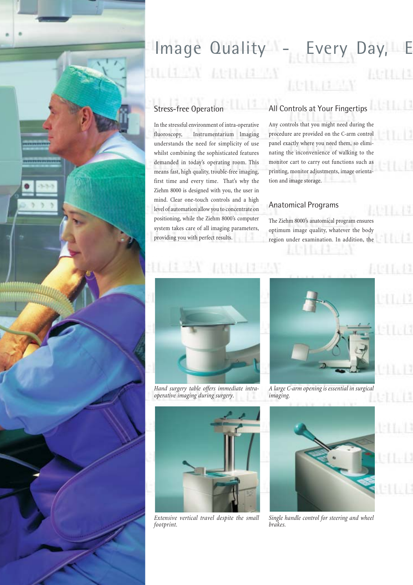

# Image Quality - Every Day, **ULIEN LEHERY**

### Stress-free Operation

In the stressful environment of intra-operative fluoroscopy, Instrumentarium Imaging understands the need for simplicity of use whilst combining the sophisticated features demanded in today's operating room. This means fast, high quality, trouble-free imaging, first time and every time. That's why the Ziehm 8000 is designed with you, the user in mind. Clear one-touch controls and a high level of automation allow you to concentrate on positioning, while the Ziehm 8000's computer system takes care of all imaging parameters, providing you with perfect results.

# All Controls at Your Fingertips

Any controls that you might need during the procedure are provided on the C-arm control panel exactly where you need them, so eliminating the inconvenience of walking to the monitor cart to carry out functions such as printing, monitor adjustments, image orientation and image storage.

#### Anatomical Programs

The Ziehm 8000's anatomical program ensures optimum image quality, whatever the body region under examination. In addition, the



*Hand surgery table offers immediate intraoperative imaging during surgery.*



*A large C-arm opening is essential in surgical imaging.*



*Extensive vertical travel despite the small footprint.*



*Single handle control for steering and wheel brakes.*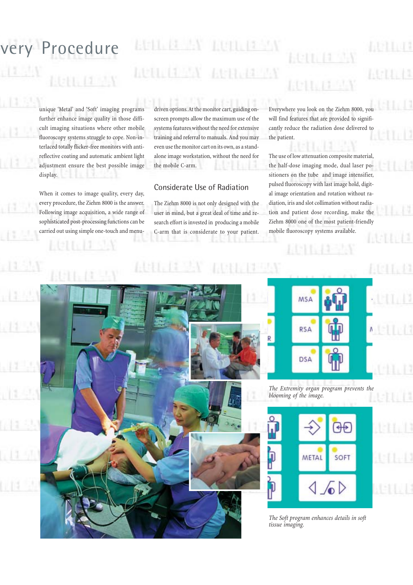# very Procedure

unique 'Metal' and 'Soft' imaging programs further enhance image quality in those difficult imaging situations where other mobile fluoroscopy systems struggle to cope. Non-interlaced totally flicker-free monitors with antireflective coating and automatic ambient light adjustment ensure the best possible image display.

**F-11 11 JUN** 

When it comes to image quality, every day, every procedure, the Ziehm 8000 is the answer. Following image acquisition, a wide range of sophisticated post-processing functions can be carried out using simple one-touch and menudriven options. At the monitor cart, guiding onscreen prompts allow the maximum use of the systems features without the need for extensive training and referral to manuals. And you may even use the monitor cart on its own, as a standalone image workstation, without the need for the mobile C-arm.

### Considerate Use of Radiation

The Ziehm 8000 is not only designed with the user in mind, but a great deal of time and research effort is invested in producing a mobile C-arm that is considerate to your patient. Everywhere you look on the Ziehm 8000, you will find features that are provided to significantly reduce the radiation dose delivered to the patient.

E. L

The use of low attenuation composite material, the half-dose imaging mode, dual laser positioners on the tube and image intensifier, pulsed fluoroscopy with last image hold, digital image orientation and rotation without radiation, iris and slot collimation without radiation and patient dose recording, make the Ziehm 8000 one of the most patient-friendly mobile fluoroscopy systems available.



*The Extremity organ program prevents the blooming of the image.*



*The Soft program enhances details in soft tissue imaging.*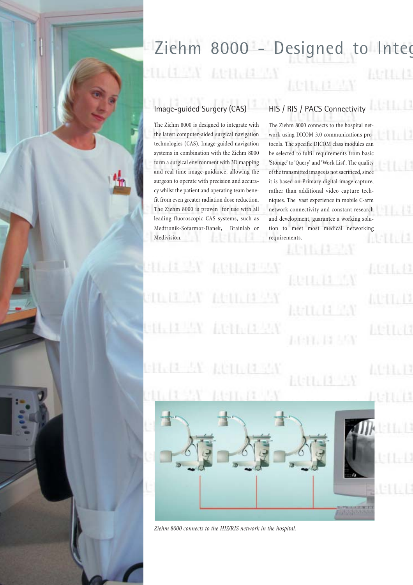### Ziehm 8000 - Designed to Integ **LUTTLETT** 1405 W **ASTE 13**

### Image-guided Surgery (CAS)

The Ziehm 8000 is designed to integrate with the latest computer-aided surgical navigation technologies (CAS). Image-guided navigation systems in combination with the Ziehm 8000 form a surgical environment with 3D mapping and real time image-guidance, allowing the surgeon to operate with precision and accuracy whilst the patient and operating team benefit from even greater radiation dose reduction. The Ziehm 8000 is proven for use with all leading fluoroscopic CAS systems, such as Medtronik-Sofarmor-Danek, Brainlab or Medivision.

### HIS / RIS / PACS Connectivity

**LISTLI3** 

 $1.11$ 

nen 17

1441147

五日五日

The Ziehm 8000 connects to the hospital network using DICOM 3.0 communications protocols. The specific DICOM class modules can be selected to fulfil requirements from basic 'Storage' to 'Query' and 'Work List'. The quality of the transmitted images is not sacrificed, since it is based on Primary digital image capture, rather than additional video capture techniques. The vast experience in mobile C-arm network connectivity and constant research and development, guarantee a working solution to meet most medical networking requirements.

 $(1, 1, 1, 1)$ Reutia 111.14.45% AUTO 14 951 **Atthebield** 1011, 11363

**Letting Star EUTLET** 



*Ziehm 8000 connects to the HIS/RIS network in the hospital.*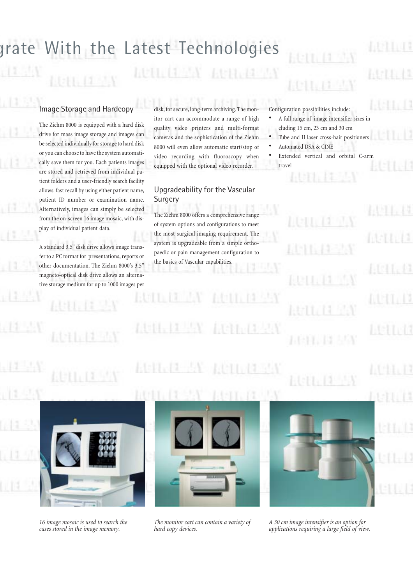## grate With the Latest Technologies

### Image Storage and Hardcopy

The Ziehm 8000 is equipped with a hard disk drive for mass image storage and images can be selected individually for storage to hard disk or you can choose to have the system automatically save them for you. Each patients images are stored and retrieved from individual patient folders and a user-friendly search facility allows fast recall by using either patient name, patient ID number or examination name. Alternatively, images can simply be selected from the on-screen 16 image mosaic, with display of individual patient data.

A standard 3.5'' disk drive allows image transfer to a PC format for presentations, reports or other documentation. The Ziehm 8000's 3.5" magneto-optical disk drive allows an alternative storage medium for up to 1000 images per

disk, for secure, long-term archiving. The monitor cart can accommodate a range of high quality video printers and multi-format cameras and the sophistication of the Ziehm 8000 will even allow automatic start/stop of video recording with fluoroscopy when equipped with the optional video recorder.

#### Upgradeability for the Vascular Surgery

The Ziehm 8000 offers a comprehensive range of system options and configurations to meet the most surgical imaging requirement. The system is upgradeable from a simple orthopaedic or pain management configuration to the basics of Vascular capabilities.

Configuration possibilities include:

- A full range of image intensifier sizes in cluding 15 cm, 23 cm and 30 cm
- Tube and II laser cross-hair positioners
- Automated DSA & CINE
- Extended vertical and orbital C-arm travel

 $|A|$ IJ



*16 image mosaic is used to search the cases stored in the image memory.*



ſЛ.

*The monitor cart can contain a variety of hard copy devices.*



*A 30 cm image intensifier is an option for applications requiring a large field of view.*